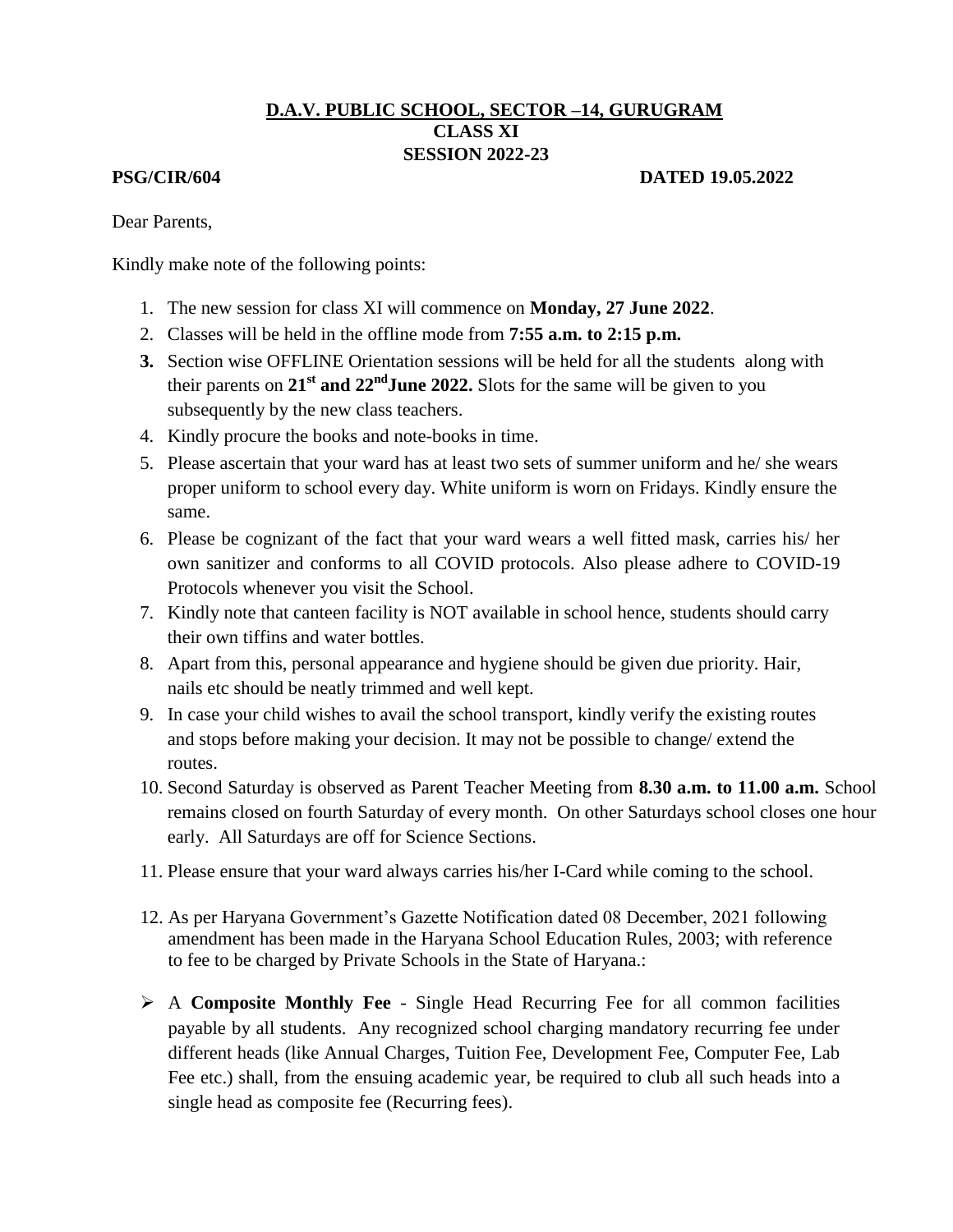## **D.A.V. PUBLIC SCHOOL, SECTOR –14, GURUGRAM CLASS XI SESSION 2022-23**

## **PSG/CIR/604 DATED 19.05.2022**

Dear Parents,

Kindly make note of the following points:

- 1. The new session for class XI will commence on **Monday, 27 June 2022**.
- 2. Classes will be held in the offline mode from **7:55 a.m. to 2:15 p.m.**
- **3.** Section wise OFFLINE Orientation sessions will be held for all the students along with their parents on  $21<sup>st</sup>$  **and**  $22<sup>nd</sup>$  **June 2022.** Slots for the same will be given to you subsequently by the new class teachers.
- 4. Kindly procure the books and note-books in time.
- 5. Please ascertain that your ward has at least two sets of summer uniform and he/ she wears proper uniform to school every day. White uniform is worn on Fridays. Kindly ensure the same.
- 6. Please be cognizant of the fact that your ward wears a well fitted mask, carries his/ her own sanitizer and conforms to all COVID protocols. Also please adhere to COVID-19 Protocols whenever you visit the School.
- 7. Kindly note that canteen facility is NOT available in school hence, students should carry their own tiffins and water bottles.
- 8. Apart from this, personal appearance and hygiene should be given due priority. Hair, nails etc should be neatly trimmed and well kept.
- 9. In case your child wishes to avail the school transport, kindly verify the existing routes and stops before making your decision. It may not be possible to change/ extend the routes.
- 10. Second Saturday is observed as Parent Teacher Meeting from **8.30 a.m. to 11.00 a.m.** School remains closed on fourth Saturday of every month. On other Saturdays school closes one hour early. All Saturdays are off for Science Sections.
- 11. Please ensure that your ward always carries his/her I-Card while coming to the school.
- 12. As per Haryana Government's Gazette Notification dated 08 December, 2021 following amendment has been made in the Haryana School Education Rules, 2003; with reference to fee to be charged by Private Schools in the State of Haryana.:
- A **Composite Monthly Fee**  Single Head Recurring Fee for all common facilities payable by all students. Any recognized school charging mandatory recurring fee under different heads (like Annual Charges, Tuition Fee, Development Fee, Computer Fee, Lab Fee etc.) shall, from the ensuing academic year, be required to club all such heads into a single head as composite fee (Recurring fees).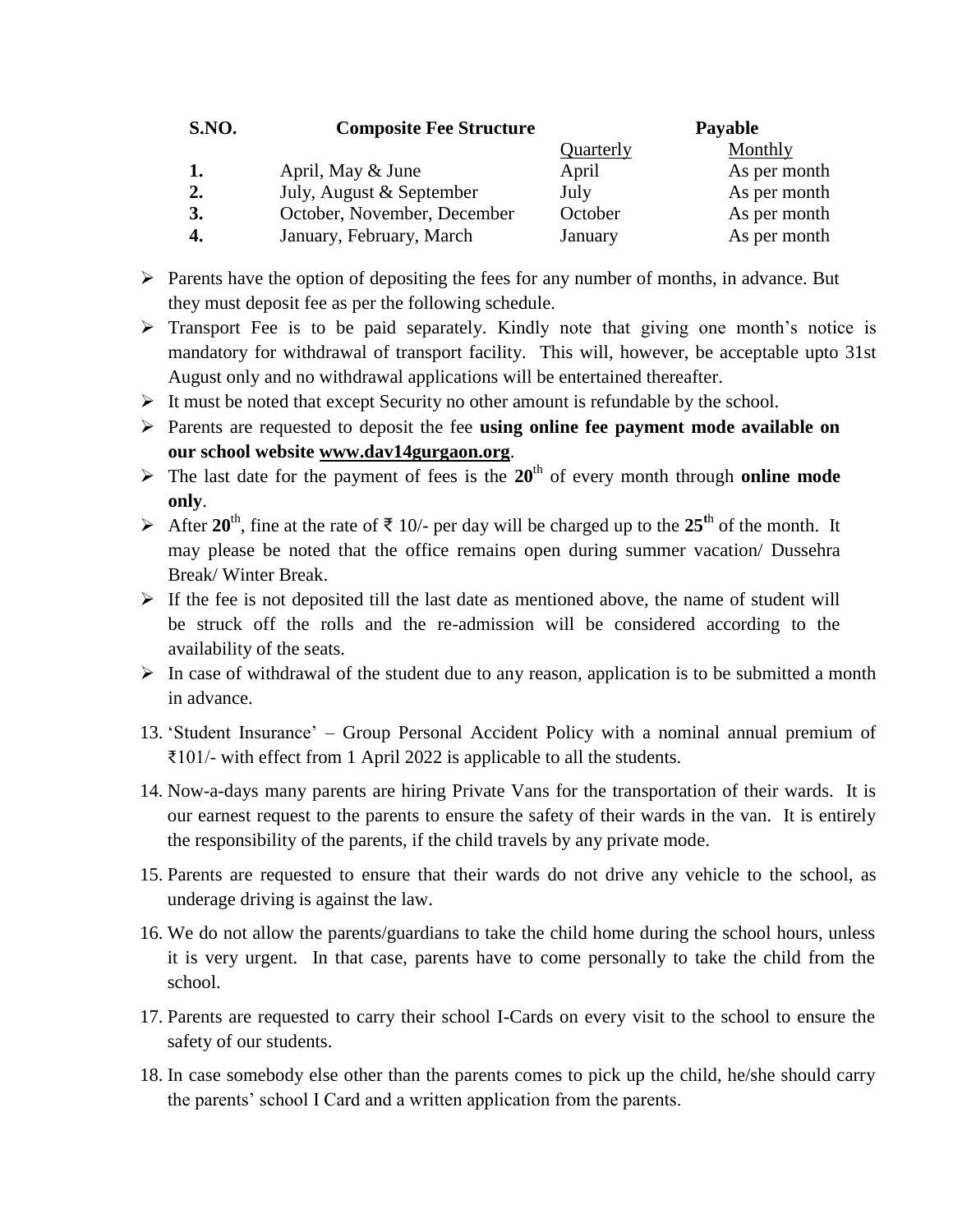| S.NO. | <b>Composite Fee Structure</b> |           | <b>Payable</b> |
|-------|--------------------------------|-----------|----------------|
|       |                                | Quarterly | Monthly        |
|       | April, May & June              | April     | As per month   |
| 2.    | July, August & September       | July      | As per month   |
| 3.    | October, November, December    | October   | As per month   |
|       | January, February, March       | January   | As per month   |

- $\triangleright$  Parents have the option of depositing the fees for any number of months, in advance. But they must deposit fee as per the following schedule.
- $\triangleright$  Transport Fee is to be paid separately. Kindly note that giving one month's notice is mandatory for withdrawal of transport facility. This will, however, be acceptable upto 31st August only and no withdrawal applications will be entertained thereafter.
- $\triangleright$  It must be noted that except Security no other amount is refundable by the school.
- Parents are requested to deposit the fee **using online fee payment mode available on our school website [www.dav14gurgaon.org](http://www.dav14gurgaon.org/)**.
- $\triangleright$  The last date for the payment of fees is the 20<sup>th</sup> of every month through **online mode only**.
- After  $20^{th}$ , fine at the rate of  $\overline{5}$  10/- per day will be charged up to the  $25^{th}$  of the month. It may please be noted that the office remains open during summer vacation/ Dussehra Break/ Winter Break.
- $\triangleright$  If the fee is not deposited till the last date as mentioned above, the name of student will be struck off the rolls and the re-admission will be considered according to the availability of the seats.
- $\triangleright$  In case of withdrawal of the student due to any reason, application is to be submitted a month in advance.
- 13. 'Student Insurance' Group Personal Accident Policy with a nominal annual premium of ₹101/- with effect from 1 April 2022 is applicable to all the students.
- 14. Now-a-days many parents are hiring Private Vans for the transportation of their wards. It is our earnest request to the parents to ensure the safety of their wards in the van. It is entirely the responsibility of the parents, if the child travels by any private mode.
- 15. Parents are requested to ensure that their wards do not drive any vehicle to the school, as underage driving is against the law.
- 16. We do not allow the parents/guardians to take the child home during the school hours, unless it is very urgent. In that case, parents have to come personally to take the child from the school.
- 17. Parents are requested to carry their school I-Cards on every visit to the school to ensure the safety of our students.
- 18. In case somebody else other than the parents comes to pick up the child, he/she should carry the parents' school I Card and a written application from the parents.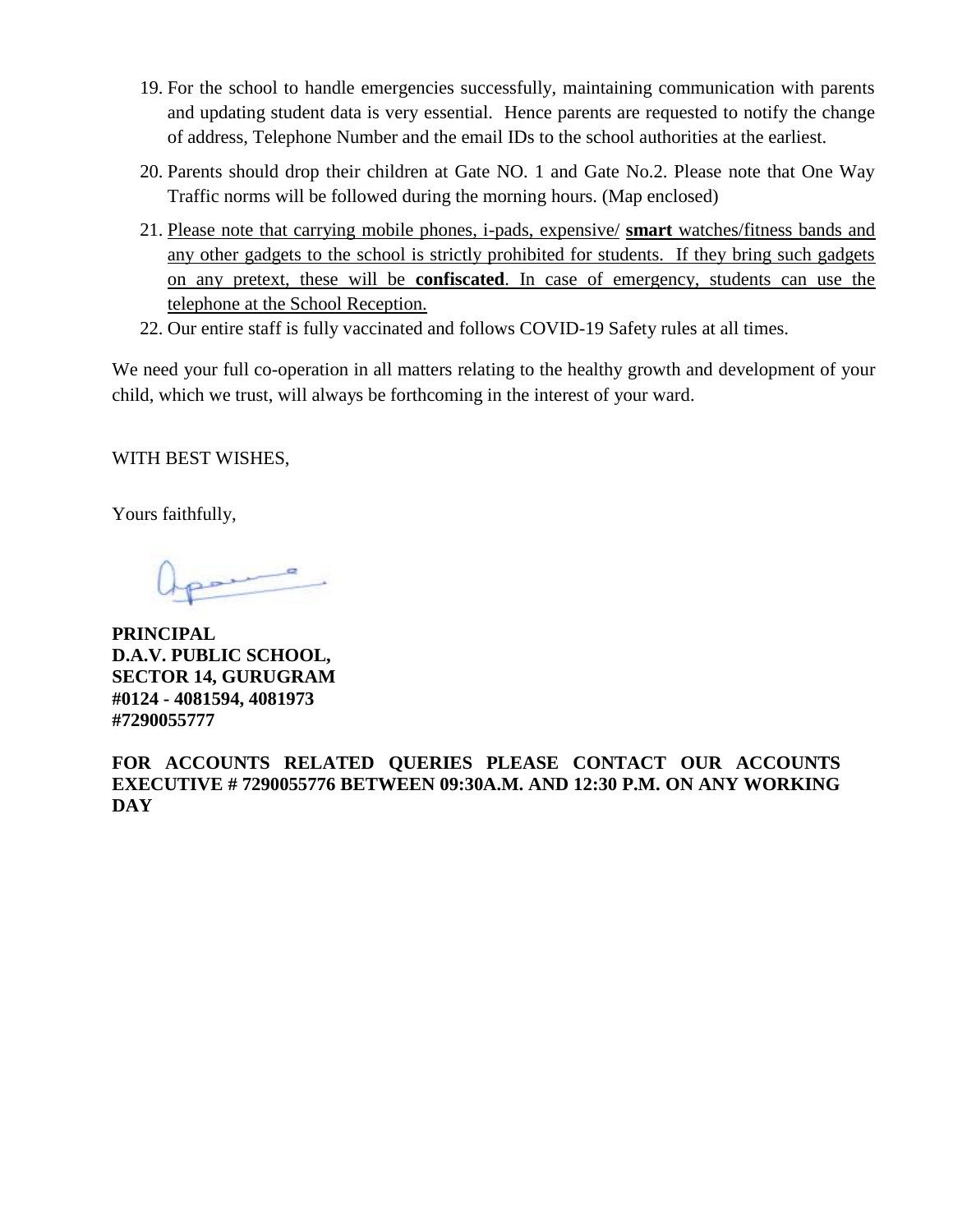- 19. For the school to handle emergencies successfully, maintaining communication with parents and updating student data is very essential. Hence parents are requested to notify the change of address, Telephone Number and the email IDs to the school authorities at the earliest.
- 20. Parents should drop their children at Gate NO. 1 and Gate No.2. Please note that One Way Traffic norms will be followed during the morning hours. (Map enclosed)
- 21. Please note that carrying mobile phones, i-pads, expensive/ **smart** watches/fitness bands and any other gadgets to the school is strictly prohibited for students. If they bring such gadgets on any pretext, these will be **confiscated**. In case of emergency, students can use the telephone at the School Reception.
- 22. Our entire staff is fully vaccinated and follows COVID-19 Safety rules at all times.

We need your full co-operation in all matters relating to the healthy growth and development of your child, which we trust, will always be forthcoming in the interest of your ward.

WITH BEST WISHES,

Yours faithfully,

**PRINCIPAL D.A.V. PUBLIC SCHOOL, SECTOR 14, GURUGRAM #0124 - 4081594, 4081973 #7290055777**

**FOR ACCOUNTS RELATED QUERIES PLEASE CONTACT OUR ACCOUNTS EXECUTIVE # 7290055776 BETWEEN 09:30A.M. AND 12:30 P.M. ON ANY WORKING DAY**